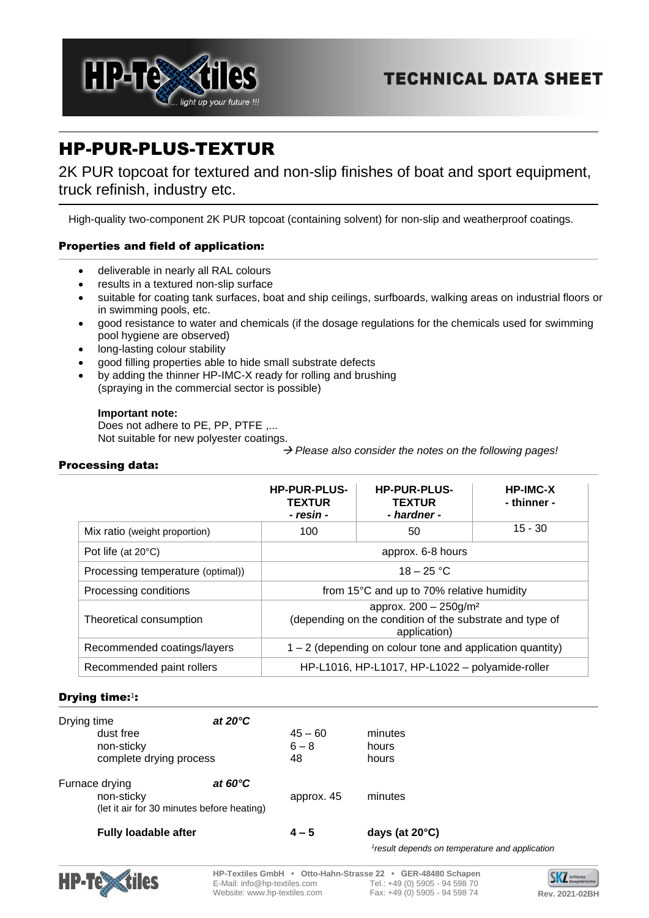

# HP-PUR-PLUS-TEXTUR

2K PUR topcoat for textured and non-slip finishes of boat and sport equipment, truck refinish, industry etc.

High-quality two-component 2K PUR topcoat (containing solvent) for non-slip and weatherproof coatings.

# Properties and field of application:

- deliverable in nearly all RAL colours
- results in a textured non-slip surface
- suitable for coating tank surfaces, boat and ship ceilings, surfboards, walking areas on industrial floors or in swimming pools, etc.
- good resistance to water and chemicals (if the dosage regulations for the chemicals used for swimming pool hygiene are observed)
- long-lasting colour stability
- good filling properties able to hide small substrate defects
- by adding the thinner HP-IMC-X ready for rolling and brushing (spraying in the commercial sector is possible)

# **Important note:**

Does not adhere to PE, PP, PTFE .... Not suitable for new polyester coatings.

→ *Please also consider the notes on the following pages!*

# Processing data:

|                                   | <b>HP-PUR-PLUS-</b><br><b>TEXTUR</b><br>- resin -                                                                | <b>HP-PUR-PLUS-</b><br><b>TEXTUR</b><br>- hardner - | <b>HP-IMC-X</b><br>- thinner - |  |  |
|-----------------------------------|------------------------------------------------------------------------------------------------------------------|-----------------------------------------------------|--------------------------------|--|--|
| Mix ratio (weight proportion)     | 100                                                                                                              | 50                                                  | $15 - 30$                      |  |  |
| Pot life (at $20^{\circ}$ C)      | approx. 6-8 hours                                                                                                |                                                     |                                |  |  |
| Processing temperature (optimal)) | $18 - 25 °C$                                                                                                     |                                                     |                                |  |  |
| Processing conditions             | from 15°C and up to 70% relative humidity                                                                        |                                                     |                                |  |  |
| Theoretical consumption           | approx. $200 - 250$ g/m <sup>2</sup><br>(depending on the condition of the substrate and type of<br>application) |                                                     |                                |  |  |
| Recommended coatings/layers       | $1 - 2$ (depending on colour tone and application quantity)                                                      |                                                     |                                |  |  |
| Recommended paint rollers         | HP-L1016, HP-L1017, HP-L1022 - polyamide-roller                                                                  |                                                     |                                |  |  |

# Drying time:<sup>1</sup>:

| Drying time                 | at $20^{\circ}$ C                          |            |                          |  |
|-----------------------------|--------------------------------------------|------------|--------------------------|--|
| dust free                   |                                            | $45 - 60$  | minutes                  |  |
| non-sticky                  |                                            | $6 - 8$    | hours                    |  |
| complete drying process     |                                            | 48         | hours                    |  |
| Furnace drying              | at $60^{\circ}$ C                          |            |                          |  |
| non-sticky                  |                                            | approx. 45 | minutes                  |  |
|                             | (let it air for 30 minutes before heating) |            |                          |  |
| <b>Fully loadable after</b> |                                            | $4 - 5$    | days (at $20^{\circ}$ C) |  |





**HP-Textiles GmbH • Otto-Hahn-Strasse 22 • GER-48480 Schapen** E-Mail: info@hp-textiles.com Website: www.hp-textiles.com Fax: +49 (0) 5905 - 94 598 74 **Rev. 2021-02BH**

SKZ terti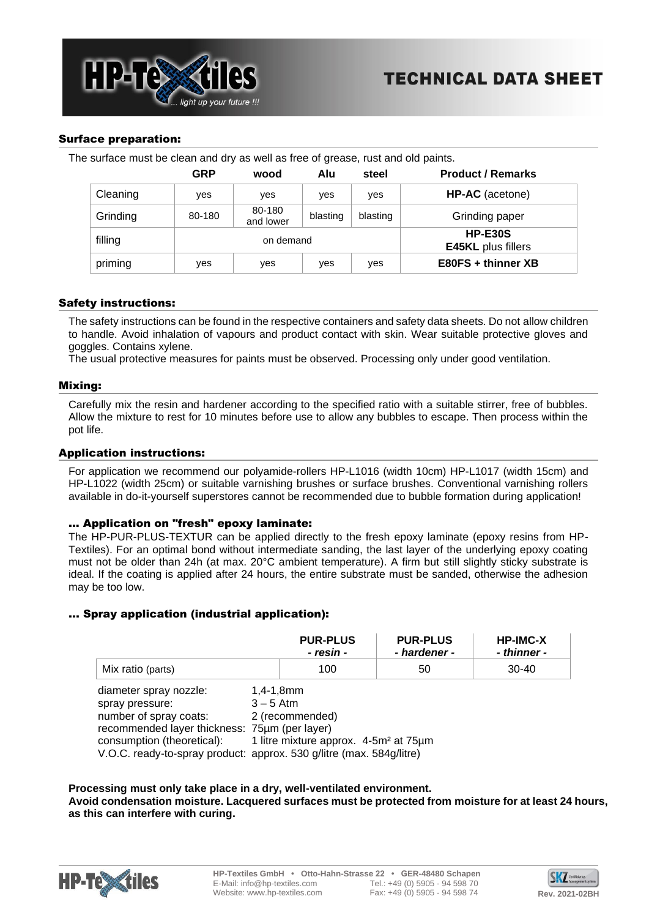

## Surface preparation:

The surface must be clean and dry as well as free of grease, rust and old paints.

|          | GRP       | wood                | Alu      | steel                                       | <b>Product / Remarks</b> |
|----------|-----------|---------------------|----------|---------------------------------------------|--------------------------|
| Cleaning | ves       | ves                 | yes      | yes                                         | HP-AC (acetone)          |
| Grinding | 80-180    | 80-180<br>and lower | blasting | blasting                                    | Grinding paper           |
| filling  | on demand |                     |          | <b>HP-E30S</b><br><b>E45KL</b> plus fillers |                          |
| priming  | ves       | yes                 | yes      | yes                                         | E80FS + thinner XB       |

## Safety instructions:

The safety instructions can be found in the respective containers and safety data sheets. Do not allow children to handle. Avoid inhalation of vapours and product contact with skin. Wear suitable protective gloves and goggles. Contains xylene.

The usual protective measures for paints must be observed. Processing only under good ventilation.

#### Mixing:

Carefully mix the resin and hardener according to the specified ratio with a suitable stirrer, free of bubbles. Allow the mixture to rest for 10 minutes before use to allow any bubbles to escape. Then process within the pot life.

#### Application instructions:

For application we recommend our polyamide-rollers HP-L1016 (width 10cm) HP-L1017 (width 15cm) and HP-L1022 (width 25cm) or suitable varnishing brushes or surface brushes. Conventional varnishing rollers available in do-it-yourself superstores cannot be recommended due to bubble formation during application!

#### ... Application on "fresh" epoxy laminate:

The HP-PUR-PLUS-TEXTUR can be applied directly to the fresh epoxy laminate (epoxy resins from HP-Textiles). For an optimal bond without intermediate sanding, the last layer of the underlying epoxy coating must not be older than 24h (at max. 20°C ambient temperature). A firm but still slightly sticky substrate is ideal. If the coating is applied after 24 hours, the entire substrate must be sanded, otherwise the adhesion may be too low.

#### ... Spray application (industrial application):

|                                                                                                                                                                                                                            |                                                                                                     | <b>PUR-PLUS</b><br>- resin - | <b>PUR-PLUS</b><br>- hardener - | <b>HP-IMC-X</b><br>- thinner - |  |
|----------------------------------------------------------------------------------------------------------------------------------------------------------------------------------------------------------------------------|-----------------------------------------------------------------------------------------------------|------------------------------|---------------------------------|--------------------------------|--|
| Mix ratio (parts)                                                                                                                                                                                                          |                                                                                                     | 100                          | 50                              | $30 - 40$                      |  |
| diameter spray nozzle:<br>spray pressure:<br>number of spray coats:<br>recommended layer thickness: 75um (per layer)<br>consumption (theoretical):<br>V.O.C. ready-to-spray product: approx. 530 g/litre (max. 584g/litre) | $1,4-1,8$ mm<br>$3 - 5$ Atm<br>2 (recommended)<br>1 litre mixture approx. 4-5m <sup>2</sup> at 75µm |                              |                                 |                                |  |

#### **Processing must only take place in a dry, well-ventilated environment. Avoid condensation moisture. Lacquered surfaces must be protected from moisture for at least 24 hours, as this can interfere with curing.**